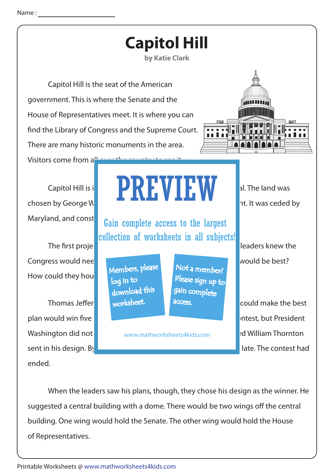

 When the leaders saw his plans, though, they chose his design as the winner. He suggested a central building with a dome. There would be two wings off the central building. One wing would hold the Senate. The other wing would hold the House of Representatives.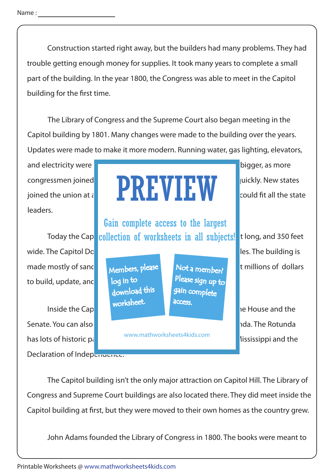Construction started right away, but the builders had many problems. They had trouble getting enough money for supplies. It took many years to complete a small part of the building. In the year 1800, the Congress was able to meet in the Capitol building for the first time.

 The Library of Congress and the Supreme Court also began meeting in the Capitol building by 1801. Many changes were made to the building over the years. Updates were made to make it more modern. Running water, gas lighting, elevators,

and electricity were and building was expanded. The building was expanded. The bigger, as more leaders.

wide. The Capitol Dome on top of the building is made mostly of sandstone, limestone, marble, and iron. It has cost millions of dollars to build, update, and

Senate. You can also notice that the Emancipation Hall and the Rotunda. has lots of historic pannol www.mathworksheets-Klus.com **Illumings. The Mississippi and the** Declaration of Independence.

## congressmen joined the and a congressment of the country was growing  $\sum_{i=1}^{n} \prod_{i=1}^{n} \prod_{j=1}^{n} \prod_{j=1}^{n} \prod_{j=1}^{n}$  uickly. New states joined the union at  $\iota$  **in the state.** Capital Hill had to grow to grow the state so it could fit all the state PREVIEW

Today the Capicollection of worksheets in all subjects! tlong, and 350 feet Gain complete access to the largest

> Members, please download this worksheet. log in to

Not a member? gain complete Please sign up to **access** 

www.mathworksheets4kids.com

Inside the Capitol building you can not the chambers for the chambers for the House and the chambers for the House and the chambers for the House and the chambers for the House and the chambers for the House and the chambe

 The Capitol building isn't the only major attraction on Capitol Hill. The Library of Congress and Supreme Court buildings are also located there. They did meet inside the Capitol building at first, but they were moved to their own homes as the country grew.

John Adams founded the Library of Congress in 1800. The books were meant to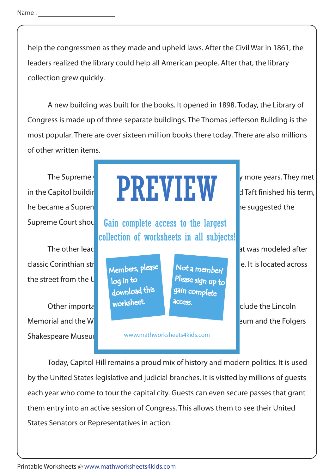help the congressmen as they made and upheld laws. After the Civil War in 1861, the leaders realized the library could help all American people. After that, the library collection grew quickly.

 A new building was built for the books. It opened in 1898. Today, the Library of Congress is made up of three separate buildings. The Thomas Jefferson Building is the most popular. There are over sixteen million books there today. There are also millions of other written items.

he became a Supremeter Court Justice. It was during the suggested the suggested the

the street from the U.

Memorial and the W**ashington Museum and the Solid Museum and the Folgers** Shakespeare Museul

## The Supreme  $\begin{array}{cc} \begin{array}{ccc} \bullet & \bullet & \bullet \end{array} \end{array}$  **The supreme for a supplement of many more years. They met** in the Capitol building until  $\blacksquare$  in  $\blacksquare$  in  $\blacksquare$  in  $\blacksquare$  in Taft finished his term, PREVIEW

Supreme Court shound Gain complete access to the largest collection of worksheets in all subjects!

> Members, please download this worksheet. log in to

Not a member? gain complete Please sign up to **access** 

www.mathworksheets4kids.com

The other leaders agreed. The other leaders agreed to splendid building that was modeled after classic Corinthian structures. The area columns are columns are columns are columns and stated across

Other important places in the Capitol Hill neighborhood include the Lincoln

 Today, Capitol Hill remains a proud mix of history and modern politics. It is used by the United States legislative and judicial branches. It is visited by millions of guests each year who come to tour the capital city. Guests can even secure passes that grant them entry into an active session of Congress. This allows them to see their United States Senators or Representatives in action.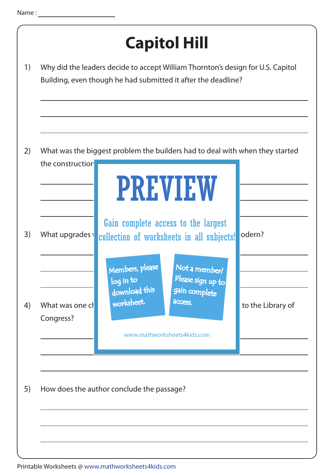